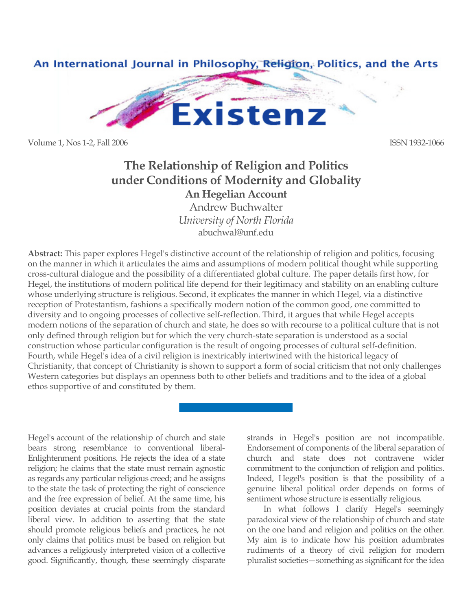

Volume 1, Nos 1-2, Fall 2006 **ISSN 1932-1066** 

# **The Relationship of Religion and Politics under Conditions of Modernity and Globality An Hegelian Account**

Andrew Buchwalter *University of North Florida* abuchwal@unf.edu

**Abstract:** This paper explores Hegel's distinctive account of the relationship of religion and politics, focusing on the manner in which it articulates the aims and assumptions of modern political thought while supporting cross-cultural dialogue and the possibility of a differentiated global culture. The paper details first how, for Hegel, the institutions of modern political life depend for their legitimacy and stability on an enabling culture whose underlying structure is religious. Second, it explicates the manner in which Hegel, via a distinctive reception of Protestantism, fashions a specifically modern notion of the common good, one committed to diversity and to ongoing processes of collective self-reflection. Third, it argues that while Hegel accepts modern notions of the separation of church and state, he does so with recourse to a political culture that is not only defined through religion but for which the very church-state separation is understood as a social construction whose particular configuration is the result of ongoing processes of cultural self-definition. Fourth, while Hegel's idea of a civil religion is inextricably intertwined with the historical legacy of Christianity, that concept of Christianity is shown to support a form of social criticism that not only challenges Western categories but displays an openness both to other beliefs and traditions and to the idea of a global ethos supportive of and constituted by them.

Hegel's account of the relationship of church and state bears strong resemblance to conventional liberal-Enlightenment positions. He rejects the idea of a state religion; he claims that the state must remain agnostic as regards any particular religious creed; and he assigns to the state the task of protecting the right of conscience and the free expression of belief. At the same time, his position deviates at crucial points from the standard liberal view. In addition to asserting that the state should promote religious beliefs and practices, he not only claims that politics must be based on religion but advances a religiously interpreted vision of a collective good. Significantly, though, these seemingly disparate strands in Hegel's position are not incompatible. Endorsement of components of the liberal separation of church and state does not contravene wider commitment to the conjunction of religion and politics. Indeed, Hegel's position is that the possibility of a genuine liberal political order depends on forms of sentiment whose structure is essentially religious.

In what follows I clarify Hegel's seemingly paradoxical view of the relationship of church and state on the one hand and religion and politics on the other. My aim is to indicate how his position adumbrates rudiments of a theory of civil religion for modern pluralist societies—something as significant for the idea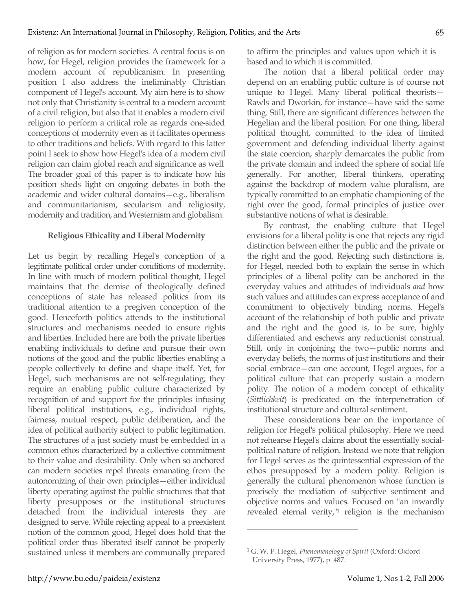of religion as for modern societies. A central focus is on how, for Hegel, religion provides the framework for a modern account of republicanism. In presenting position I also address the ineliminably Christian component of Hegel's account. My aim here is to show not only that Christianity is central to a modern account of a civil religion, but also that it enables a modern civil religion to perform a critical role as regards one-sided conceptions of modernity even as it facilitates openness to other traditions and beliefs. With regard to this latter point I seek to show how Hegel's idea of a modern civil religion can claim global reach and significance as well. The broader goal of this paper is to indicate how his position sheds light on ongoing debates in both the academic and wider cultural domains—e.g., liberalism and communitarianism, secularism and religiosity, modernity and tradition, and Westernism and globalism.

## **Religious Ethicality and Liberal Modernity**

Let us begin by recalling Hegel's conception of a legitimate political order under conditions of modernity. In line with much of modern political thought, Hegel maintains that the demise of theologically defined conceptions of state has released politics from its traditional attention to a pregiven conception of the good. Henceforth politics attends to the institutional structures and mechanisms needed to ensure rights and liberties. Included here are both the private liberties enabling individuals to define and pursue their own notions of the good and the public liberties enabling a people collectively to define and shape itself. Yet, for Hegel, such mechanisms are not self-regulating; they require an enabling public culture characterized by recognition of and support for the principles infusing liberal political institutions, e.g., individual rights, fairness, mutual respect, public deliberation, and the idea of political authority subject to public legitimation. The structures of a just society must be embedded in a common ethos characterized by a collective commitment to their value and desirability. Only when so anchored can modern societies repel threats emanating from the autonomizing of their own principles—either individual liberty operating against the public structures that that liberty presupposes or the institutional structures detached from the individual interests they are designed to serve. While rejecting appeal to a preexistent notion of the common good, Hegel does hold that the political order thus liberated itself cannot be properly sustained unless it members are communally prepared to affirm the principles and values upon which it is based and to which it is committed.

The notion that a liberal political order may depend on an enabling public culture is of course not unique to Hegel. Many liberal political theorists— Rawls and Dworkin, for instance—have said the same thing. Still, there are significant differences between the Hegelian and the liberal position. For one thing, liberal political thought, committed to the idea of limited government and defending individual liberty against the state coercion, sharply demarcates the public from the private domain and indeed the sphere of social life generally. For another, liberal thinkers, operating against the backdrop of modern value pluralism, are typically committed to an emphatic championing of the right over the good, formal principles of justice over substantive notions of what is desirable.

By contrast, the enabling culture that Hegel envisions for a liberal polity is one that rejects any rigid distinction between either the public and the private or the right and the good. Rejecting such distinctions is, for Hegel, needed both to explain the sense in which principles of a liberal polity can be anchored in the everyday values and attitudes of individuals *and* how such values and attitudes can express acceptance of and commitment to objectively binding norms. Hegel's account of the relationship of both public and private and the right and the good is, to be sure, highly differentiated and eschews any reductionist construal. Still, only in conjoining the two—public norms and everyday beliefs, the norms of just institutions and their social embrace—can one account, Hegel argues, for a political culture that can properly sustain a modern polity. The notion of a modern concept of ethicality (*Sittlichkeit*) is predicated on the interpenetration of institutional structure and cultural sentiment.

These considerations bear on the importance of religion for Hegel's political philosophy. Here we need not rehearse Hegel's claims about the essentially socialpolitical nature of religion. Instead we note that religion for Hegel serves as the quintessential expression of the ethos presupposed by a modern polity. Religion is generally the cultural phenomenon whose function is precisely the mediation of subjective sentiment and objective norms and values. Focused on "an inwardly revealed eternal verity, $n_1$  religion is the mechanism

<sup>1</sup> G. W. F. Hegel, *Phenomenology of Spirit* (Oxford: Oxford University Press, 1977), p. 487.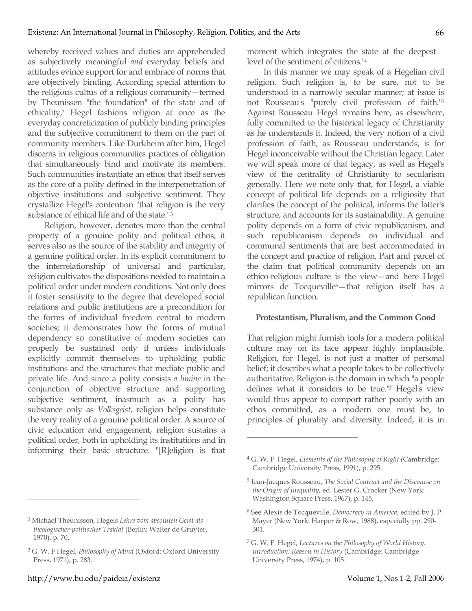whereby received values and duties are apprehended as subjectively meaningful *and* everyday beliefs and attitudes evince support for and embrace of norms that are objectively binding. According special attention to the religious cultus of a religious community—termed by Theunissen "the foundation" of the state and of ethicality,2 Hegel fashions religion at once as the everyday concreticization of publicly binding principles and the subjective commitment to them on the part of community members. Like Durkheim after him, Hegel discerns in religious communities practices of obligation that simultaneously bind and motivate its members. Such communities instantiate an ethos that itself serves as the core of a polity defined in the interpenetration of objective institutions and subjective sentiment. They crystallize Hegel's contention "that religion is the very substance of ethical life and of the state."3

Religion, however, denotes more than the central property of a genuine polity and political ethos; it serves also as the source of the stability and integrity of a genuine political order. In its explicit commitment to the interrelationship of universal and particular, religion cultivates the dispositions needed to maintain a political order under modern conditions. Not only does it foster sensitivity to the degree that developed social relations and public institutions are a precondition for the forms of individual freedom central to modern societies; it demonstrates how the forms of mutual dependency so constitutive of modern societies can properly be sustained only if unless individuals explicitly commit themselves to upholding public institutions and the structures that mediate public and private life. And since a polity consists *a limine* in the conjunction of objective structure and supporting subjective sentiment, inasmuch as a polity has substance only as *Volksgeist*, religion helps constitute the very reality of a genuine political order. A source of civic education and engagement, religion sustains a political order, both in upholding its institutions and in informing their basic structure. "[R]eligion is that

<sup>2</sup> Michael Theunissen, Hegels *Lehre vom absoluten Geist als theologischer-politischer Traktat* (Berlin: Walter de Gruyter, 1970), p. 70.

http://www.bu.edu/paideia/existenz Volume 1, Nos 1-2, Fall 2006

 $\overline{a}$ 

moment which integrates the state at the deepest level of the sentiment of citizens."4

In this manner we may speak of a Hegelian civil religion. Such religion is, to be sure, not to be understood in a narrowly secular manner; at issue is not Rousseau's "purely civil profession of faith."5 Against Rousseau Hegel remains here, as elsewhere, fully committed to the historical legacy of Christianity as he understands it. Indeed, the very notion of a civil profession of faith, as Rousseau understands, is for Hegel inconceivable without the Christian legacy. Later we will speak more of that legacy, as well as Hegel's view of the centrality of Christianity to secularism generally. Here we note only that, for Hegel, a viable concept of political life depends on a religiosity that clarifies the concept of the political, informs the latter's structure, and accounts for its sustainability. A genuine polity depends on a form of civic republicanism, and such republicanism depends on individual and communal sentiments that are best accommodated in the concept and practice of religion. Part and parcel of the claim that political community depends on an ethico-religious culture is the view—and here Hegel mirrors de Tocqueville<sup>6</sup>-that religion itself has a republican function.

## **Protestantism, Pluralism, and the Common Good**

That religion might furnish tools for a modern political culture may on its face appear highly implausible. Religion, for Hegel, is not just a matter of personal belief; it describes what a people takes to be collectively authoritative. Religion is the domain in which "a people defines what it considers to be true."7 Hegel's view would thus appear to comport rather poorly with an ethos committed, as a modern one must be, to principles of plurality and diversity. Indeed, it is in

<sup>3</sup> G. W. F Hegel, *Philosophy of Mind* (Oxford: Oxford University Press, 1971), p. 283.

<sup>4</sup> G. W. F. Hegel, *Elements of the Philosophy of Right* (Cambridge: Cambridge University Press, 1991), p. 295.

<sup>5</sup> Jean-Jacques Rousseau, *The Social Contract and the Discourse on the Origin of Inequality*, ed. Lester G. Crocker (New York: Washington Square Press, 1967), p. 145.

<sup>6</sup> See Alexis de Tocqueville, *Democracy in America*, edited by J. P. Mayer (New York: Harper & Row, 1988), especially pp. 290- 301.

<sup>7</sup> G. W. F. Hegel, *Lectures on the Philosophy of World History. Introduction: Reason in History* (Cambridge: Cambridge University Press, 1974), p. 105.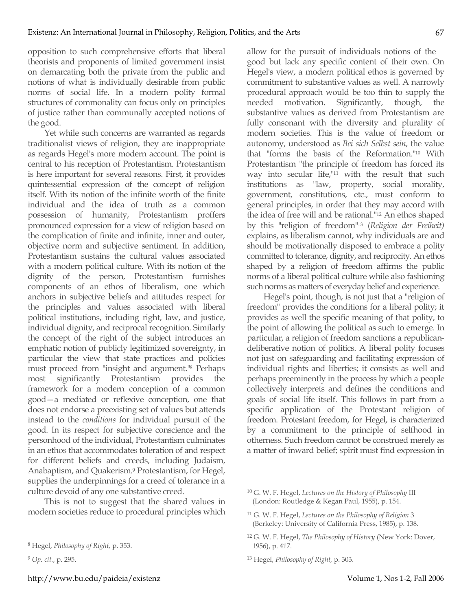opposition to such comprehensive efforts that liberal theorists and proponents of limited government insist on demarcating both the private from the public and notions of what is individually desirable from public norms of social life. In a modern polity formal structures of commonality can focus only on principles of justice rather than communally accepted notions of the good.

Yet while such concerns are warranted as regards traditionalist views of religion, they are inappropriate as regards Hegel's more modern account. The point is central to his reception of Protestantism. Protestantism is here important for several reasons. First, it provides quintessential expression of the concept of religion itself. With its notion of the infinite worth of the finite individual and the idea of truth as a common possession of humanity, Protestantism proffers pronounced expression for a view of religion based on the complication of finite and infinite, inner and outer, objective norm and subjective sentiment. In addition, Protestantism sustains the cultural values associated with a modern political culture. With its notion of the dignity of the person, Protestantism furnishes components of an ethos of liberalism, one which anchors in subjective beliefs and attitudes respect for the principles and values associated with liberal political institutions, including right, law, and justice, individual dignity, and reciprocal recognition. Similarly the concept of the right of the subject introduces an emphatic notion of publicly legitimized sovereignty, in particular the view that state practices and policies must proceed from "insight and argument."8 Perhaps most significantly Protestantism provides the framework for a modern conception of a common good—a mediated or reflexive conception, one that does not endorse a preexisting set of values but attends instead to the *conditions* for individual pursuit of the good. In its respect for subjective conscience and the personhood of the individual, Protestantism culminates in an ethos that accommodates toleration of and respect for different beliefs and creeds, including Judaism, Anabaptism, and Quakerism. 9 Protestantism, for Hegel, supplies the underpinnings for a creed of tolerance in a culture devoid of any one substantive creed.

This is not to suggest that the shared values in modern societies reduce to procedural principles which

 $\overline{a}$ 

http://www.bu.edu/paideia/existenz Volume 1, Nos 1-2, Fall 2006

allow for the pursuit of individuals notions of the good but lack any specific content of their own. On Hegel's view, a modern political ethos is governed by commitment to substantive values as well. A narrowly procedural approach would be too thin to supply the needed motivation. Significantly, though, the substantive values as derived from Protestantism are fully consonant with the diversity and plurality of modern societies. This is the value of freedom or autonomy, understood as *Bei sich Selbst sein*, the value that "forms the basis of the Reformation."10 With Protestantism "the principle of freedom has forced its way into secular life,"11 with the result that such institutions as "law, property, social morality, government, constitutions, etc., must conform to general principles, in order that they may accord with the idea of free will and be rational."12 An ethos shaped by this "religion of freedom"13 (*Religion der Freiheit)* explains, as liberalism cannot, why individuals are and should be motivationally disposed to embrace a polity committed to tolerance, dignity, and reciprocity. An ethos shaped by a religion of freedom affirms the public norms of a liberal political culture while also fashioning such norms as matters of everyday belief and experience.

Hegel's point, though, is not just that a "religion of freedom" provides the conditions for a liberal polity; it provides as well the specific meaning of that polity, to the point of allowing the political as such to emerge. In particular, a religion of freedom sanctions a republicandeliberative notion of politics. A liberal polity focuses not just on safeguarding and facilitating expression of individual rights and liberties; it consists as well and perhaps preeminently in the process by which a people collectively interprets and defines the conditions and goals of social life itself. This follows in part from a specific application of the Protestant religion of freedom. Protestant freedom, for Hegel, is characterized by a commitment to the principle of selfhood in otherness. Such freedom cannot be construed merely as a matter of inward belief; spirit must find expression in

<sup>8</sup> Hegel, *Philosophy of Right,* p. 353.

<sup>9</sup> *Op. cit.*, p. 295.

<sup>10</sup> G. W. F. Hegel, *Lectures on the History of Philosophy* III (London: Routledge & Kegan Paul, 1955), p. 154.

<sup>11</sup> G. W. F. Hegel, *Lectures on the Philosophy of Religion* 3 (Berkeley: University of California Press, 1985), p. 138.

<sup>12</sup> G. W. F. Hegel, *The Philosophy of History* (New York: Dover, 1956), p. 417.

<sup>13</sup> Hegel, *Philosophy of Right,* p. 303.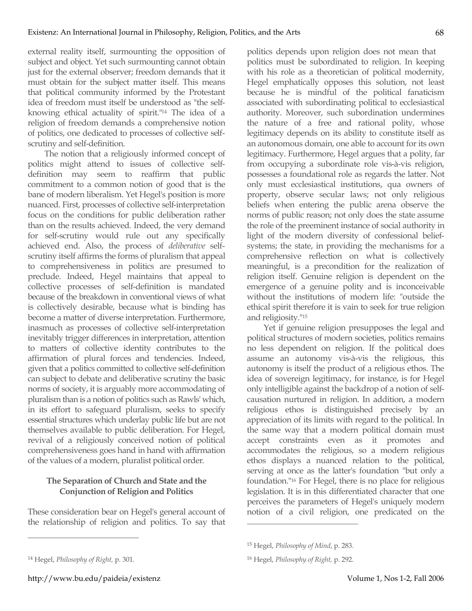external reality itself, surmounting the opposition of subject and object. Yet such surmounting cannot obtain just for the external observer; freedom demands that it must obtain for the subject matter itself. This means that political community informed by the Protestant idea of freedom must itself be understood as "the selfknowing ethical actuality of spirit."14 The idea of a religion of freedom demands a comprehensive notion of politics, one dedicated to processes of collective selfscrutiny and self-definition.

The notion that a religiously informed concept of politics might attend to issues of collective selfdefinition may seem to reaffirm that public commitment to a common notion of good that is the bane of modern liberalism. Yet Hegel's position is more nuanced. First, processes of collective self-interpretation focus on the conditions for public deliberation rather than on the results achieved. Indeed, the very demand for self-scrutiny would rule out any specifically achieved end. Also, the process of *deliberative* selfscrutiny itself affirms the forms of pluralism that appeal to comprehensiveness in politics are presumed to preclude. Indeed, Hegel maintains that appeal to collective processes of self-definition is mandated because of the breakdown in conventional views of what is collectively desirable, because what is binding has become a matter of diverse interpretation. Furthermore, inasmuch as processes of collective self-interpretation inevitably trigger differences in interpretation, attention to matters of collective identity contributes to the affirmation of plural forces and tendencies. Indeed, given that a politics committed to collective self-definition can subject to debate and deliberative scrutiny the basic norms of society, it is arguably more accommodating of pluralism than is a notion of politics such as Rawls' which, in its effort to safeguard pluralism, seeks to specify essential structures which underlay public life but are not themselves available to public deliberation. For Hegel, revival of a religiously conceived notion of political comprehensiveness goes hand in hand with affirmation of the values of a modern, pluralist political order.

## **The Separation of Church and State and the Conjunction of Religion and Politics**

These consideration bear on Hegel's general account of the relationship of religion and politics. To say that politics depends upon religion does not mean that politics must be subordinated to religion. In keeping with his role as a theoretician of political modernity, Hegel emphatically opposes this solution, not least because he is mindful of the political fanaticism associated with subordinating political to ecclesiastical authority. Moreover, such subordination undermines the nature of a free and rational polity, whose legitimacy depends on its ability to constitute itself as an autonomous domain, one able to account for its own legitimacy. Furthermore, Hegel argues that a polity, far from occupying a subordinate role vis-à-vis religion, possesses a foundational role as regards the latter. Not only must ecclesiastical institutions, qua owners of property, observe secular laws; not only religious beliefs when entering the public arena observe the norms of public reason; not only does the state assume the role of the preeminent instance of social authority in light of the modern diversity of confessional beliefsystems; the state, in providing the mechanisms for a comprehensive reflection on what is collectively meaningful, is a precondition for the realization of religion itself. Genuine religion is dependent on the emergence of a genuine polity and is inconceivable without the institutions of modern life: "outside the ethical spirit therefore it is vain to seek for true religion and religiosity."15

Yet if genuine religion presupposes the legal and political structures of modern societies, politics remains no less dependent on religion. If the political does assume an autonomy vis-à-vis the religious, this autonomy is itself the product of a religious ethos. The idea of sovereign legitimacy, for instance, is for Hegel only intelligible against the backdrop of a notion of selfcausation nurtured in religion. In addition, a modern religious ethos is distinguished precisely by an appreciation of its limits with regard to the political. In the same way that a modern political domain must accept constraints even as it promotes and accommodates the religious, so a modern religious ethos displays a nuanced relation to the political, serving at once as the latter's foundation "but only a foundation."16 For Hegel, there is no place for religious legislation. It is in this differentiated character that one perceives the parameters of Hegel's uniquely modern notion of a civil religion, one predicated on the

 $\overline{a}$ 

 $\overline{a}$ 

http://www.bu.edu/paideia/existenz Volume 1, Nos 1-2, Fall 2006

<sup>15</sup> Hegel, *Philosophy of Mind*, p. 283.

<sup>16</sup> Hegel, *Philosophy of Right,* p. 292.

<sup>14</sup> Hegel, *Philosophy of Right,* p. 301.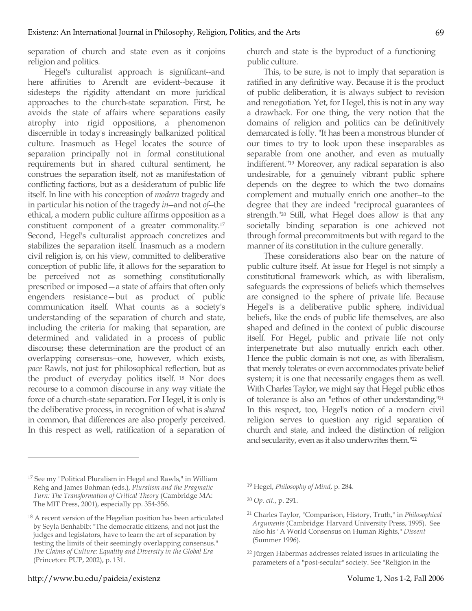separation of church and state even as it conjoins religion and politics.

Hegel's culturalist approach is significant--and here affinities to Arendt are evident--because it sidesteps the rigidity attendant on more juridical approaches to the church-state separation. First, he avoids the state of affairs where separations easily atrophy into rigid oppositions, a phenomenon discernible in today's increasingly balkanized political culture. Inasmuch as Hegel locates the source of separation principally not in formal constitutional requirements but in shared cultural sentiment, he construes the separation itself, not as manifestation of conflicting factions, but as a desideratum of public life itself. In line with his conception of *modern* tragedy and in particular his notion of the tragedy *in*--and not *of*--the ethical, a modern public culture affirms opposition as a constituent component of a greater commonality. 17 Second, Hegel's culturalist approach concretizes and stabilizes the separation itself. Inasmuch as a modern civil religion is, on his view, committed to deliberative conception of public life, it allows for the separation to be perceived not as something constitutionally prescribed or imposed—a state of affairs that often only engenders resistance—but as product of public communication itself. What counts as a society's understanding of the separation of church and state, including the criteria for making that separation, are determined and validated in a process of public discourse; these determination are the product of an overlapping consensus--one, however, which exists, *pace* Rawls, not just for philosophical reflection, but as the product of everyday politics itself. <sup>18</sup> Nor does recourse to a common discourse in any way vitiate the force of a church-state separation. For Hegel, it is only is the deliberative process, in recognition of what is *shared* in common, that differences are also properly perceived. In this respect as well, ratification of a separation of church and state is the byproduct of a functioning public culture.

This, to be sure, is not to imply that separation is ratified in any definitive way. Because it is the product of public deliberation, it is always subject to revision and renegotiation. Yet, for Hegel, this is not in any way a drawback. For one thing, the very notion that the domains of religion and politics can be definitively demarcated is folly. "It has been a monstrous blunder of our times to try to look upon these inseparables as separable from one another, and even as mutually indifferent."19 Moreover, any radical separation is also undesirable, for a genuinely vibrant public sphere depends on the degree to which the two domains complement and mutually enrich one another--to the degree that they are indeed "reciprocal guarantees of strength."20 Still, what Hegel does allow is that any societally binding separation is one achieved not through formal precommitments but with regard to the manner of its constitution in the culture generally.

These considerations also bear on the nature of public culture itself. At issue for Hegel is not simply a constitutional framework which, as with liberalism, safeguards the expressions of beliefs which themselves are consigned to the sphere of private life. Because Hegel's is a deliberative public sphere, individual beliefs, like the ends of public life themselves, are also shaped and defined in the context of public discourse itself. For Hegel, public and private life not only interpenetrate but also mutually enrich each other. Hence the public domain is not one, as with liberalism, that merely tolerates or even accommodates private belief system; it is one that necessarily engages them as well. With Charles Taylor, we might say that Hegel public ethos of tolerance is also an "ethos of other understanding."21 In this respect, too, Hegel's notion of a modern civil religion serves to question any rigid separation of church and state, and indeed the distinction of religion and secularity, even as it also underwrites them."22

 $\overline{a}$ 

<sup>17</sup> See my "Political Pluralism in Hegel and Rawls," in William Rehg and James Bohman (eds.), *Pluralism and the Pragmatic Turn: The Transformation of Critical Theory* (Cambridge MA: The MIT Press, 2001), especially pp. 354-356.

<sup>&</sup>lt;sup>18</sup> A recent version of the Hegelian position has been articulated by Seyla Benhabib: "The democratic citizens, and not just the judges and legislators, have to learn the art of separation by testing the limits of their seemingly overlapping consensus." *The Claims of Culture: Equality and Diversity in the Global Era* (Princeton: PUP, 2002), p. 131.

<sup>19</sup> Hegel, *Philosophy of Mind*, p. 284.

<sup>20</sup> *Op. cit.*, p. 291.

<sup>21</sup> Charles Taylor, "Comparison, History, Truth," in *Philosophical Arguments* (Cambridge: Harvard University Press, 1995). See also his "A World Consensus on Human Rights," *Dissent* (Summer 1996).

<sup>22</sup> Jürgen Habermas addresses related issues in articulating the parameters of a "post-secular" society. See "Religion in the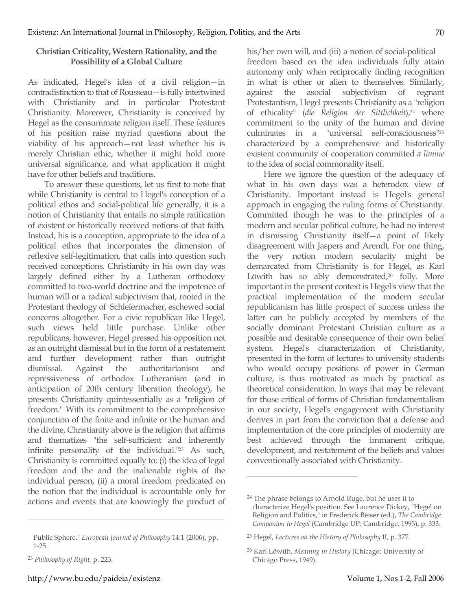## **Christian Criticality, Western Rationality, and the Possibility of a Global Culture**

As indicated, Hegel's idea of a civil religion—in contradistinction to that of Rousseau—is fully intertwined with Christianity and in particular Protestant Christianity. Moreover, Christianity is conceived by Hegel as the consummate religion itself. These features of his position raise myriad questions about the viability of his approach—not least whether his is merely Christian ethic, whether it might hold more universal significance, and what application it might have for other beliefs and traditions.

To answer these questions, let us first to note that while Christianity is central to Hegel's conception of a political ethos and social-political life generally, it is a notion of Christianity that entails no simple ratification of existent or historically received notions of that faith. Instead, his is a conception, appropriate to the idea of a political ethos that incorporates the dimension of reflexive self-legitimation, that calls into question such received conceptions. Christianity in his own day was largely defined either by a Lutheran orthodoxy committed to two-world doctrine and the impotence of human will or a radical subjectivism that, rooted in the Protestant theology of Schleiermacher, eschewed social concerns altogether. For a civic republican like Hegel, such views held little purchase. Unlike other republicans, however, Hegel pressed his opposition not as an outright dismissal but in the form of a restatement and further development rather than outright dismissal. Against the authoritarianism and repressiveness of orthodox Lutheranism (and in anticipation of 20th century liberation theology), he presents Christianity quintessentially as a "religion of freedom." With its commitment to the comprehensive conjunction of the finite and infinite or the human and the divine, Christianity above is the religion that affirms and thematizes "the self-sufficient and inherently infinite personality of the individual."23 As such, Christianity is committed equally to: (i) the idea of legal freedom and the and the inalienable rights of the individual person, (ii) a moral freedom predicated on the notion that the individual is accountable only for actions and events that are knowingly the product of

 $\overline{a}$ 

his/her own will, and (iii) a notion of social-political freedom based on the idea individuals fully attain autonomy only when reciprocally finding recognition in what is other or alien to themselves. Similarly, against the asocial subjectivism of regnant Protestantism, Hegel presents Christianity as a "religion of ethicality" (*die Religion der Sittlichkeit*),24 where commitment to the unity of the human and divine culminates in a "universal self-consciousness"25 characterized by a comprehensive and historically existent community of cooperation committed *a limine* to the idea of social commonality itself.

Here we ignore the question of the adequacy of what in his own days was a heterodox view of Christianity. Important instead is Hegel's general approach in engaging the ruling forms of Christianity. Committed though he was to the principles of a modern and secular political culture, he had no interest in dismissing Christianity itself—a point of likely disagreement with Jaspers and Arendt. For one thing, the very notion modern secularity might be demarcated from Christianity is for Hegel, as Karl Löwith has so ably demonstrated,<sup>26</sup> folly. More important in the present context is Hegel's view that the practical implementation of the modern secular republicanism has little prospect of success unless the latter can be publicly accepted by members of the socially dominant Protestant Christian culture as a possible and desirable consequence of their own belief system. Hegel's characterization of Christianity, presented in the form of lectures to university students who would occupy positions of power in German culture, is thus motivated as much by practical as theoretical consideration. In ways that may be relevant for those critical of forms of Christian fundamentalism in our society, Hegel's engagement with Christianity derives in part from the conviction that a defense and implementation of the core principles of modernity are best achieved through the immanent critique, development, and restatement of the beliefs and values conventionally associated with Christianity.

Public Sphere," *European Journal of Philosophy* 14:1 (2006), pp. 1-25.

<sup>23</sup> *Philosophy of Right,* p. 223.

<sup>24</sup> The phrase belongs to Arnold Ruge, but he uses it to characterize Hegel's position. See Laurence Dickey, "Hegel on Religion and Politics," in Frederick Beiser (ed.), *The Cambridge Companion to Hegel* (Cambridge UP: Cambridge, 1993), p. 333.

<sup>25</sup> Hegel, *Lectures on the History of Philosophy* II, p. 377.

<sup>26</sup> Karl Löwith, *Meaning in History* (Chicago: University of Chicago Press, 1949).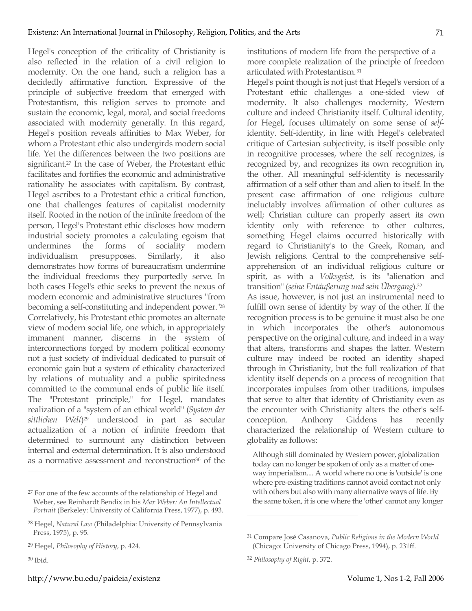Hegel's conception of the criticality of Christianity is also reflected in the relation of a civil religion to modernity. On the one hand, such a religion has a decidedly affirmative function. Expressive of the principle of subjective freedom that emerged with Protestantism, this religion serves to promote and sustain the economic, legal, moral, and social freedoms associated with modernity generally. In this regard, Hegel's position reveals affinities to Max Weber, for whom a Protestant ethic also undergirds modern social life. Yet the differences between the two positions are significant. <sup>27</sup> In the case of Weber, the Protestant ethic facilitates and fortifies the economic and administrative rationality he associates with capitalism. By contrast, Hegel ascribes to a Protestant ethic a critical function, one that challenges features of capitalist modernity itself. Rooted in the notion of the infinite freedom of the person, Hegel's Protestant ethic discloses how modern industrial society promotes a calculating egoism that undermines the forms of sociality modern individualism presupposes. Similarly, it also demonstrates how forms of bureaucratism undermine the individual freedoms they purportedly serve. In both cases Hegel's ethic seeks to prevent the nexus of modern economic and administrative structures "from becoming a self-constituting and independent power."28 Correlatively, his Protestant ethic promotes an alternate view of modern social life, one which, in appropriately immanent manner, discerns in the system of interconnections forged by modern political economy not a just society of individual dedicated to pursuit of economic gain but a system of ethicality characterized by relations of mutuality and a public spiritedness committed to the communal ends of public life itself. The "Protestant principle," for Hegel, mandates realization of a "system of an ethical world" (*System der sittlichen Welt*)29 understood in part as secular actualization of a notion of infinite freedom that determined to surmount any distinction between internal and external determination. It is also understood as a normative assessment and reconstruction30 of the

 $\overline{a}$ 

institutions of modern life from the perspective of a more complete realization of the principle of freedom articulated with Protestantism.31

Hegel's point though is not just that Hegel's version of a Protestant ethic challenges a one-sided view of modernity. It also challenges modernity, Western culture and indeed Christianity itself. Cultural identity, for Hegel, focuses ultimately on some sense of *self*identity. Self-identity, in line with Hegel's celebrated critique of Cartesian subjectivity, is itself possible only in recognitive processes, where the self recognizes, is recognized by, and recognizes its own recognition in, the other. All meaningful self-identity is necessarily affirmation of a self other than and alien to itself. In the present case affirmation of one religious culture ineluctably involves affirmation of other cultures as well; Christian culture can properly assert its own identity only with reference to other cultures, something Hegel claims occurred historically with regard to Christianity's to the Greek, Roman, and Jewish religions. Central to the comprehensive selfapprehension of an individual religious culture or spirit, as with a *Volksgeist*, is its "alienation and transition" (*seine Entäußerung und sein Übergang*).32

As issue, however, is not just an instrumental need to fulfill own sense of identity by way of the other. If the recognition process is to be genuine it must also be one in which incorporates the other's autonomous perspective on the original culture, and indeed in a way that alters, transforms and shapes the latter. Western culture may indeed be rooted an identity shaped through in Christianity, but the full realization of that identity itself depends on a process of recognition that incorporates impulses from other traditions, impulses that serve to alter that identity of Christianity even as the encounter with Christianity alters the other's selfconception. Anthony Giddens has recently characterized the relationship of Western culture to globality as follows:

Although still dominated by Western power, globalization today can no longer be spoken of only as a matter of oneway imperialism.... A world where no one is 'outside' is one where pre-existing traditions cannot avoid contact not only with others but also with many alternative ways of life. By the same token, it is one where the 'other' cannot any longer

<sup>27</sup> For one of the few accounts of the relationship of Hegel and Weber, see Reinhardt Bendix in his *Max Weber: An Intellectual Portrait* (Berkeley: University of California Press, 1977), p. 493.

<sup>28</sup> Hegel, *Natural Law* (Philadelphia: University of Pennsylvania Press, 1975), p. 95.

<sup>29</sup> Hegel, *Philosophy of History*, p. 424.

<sup>30</sup> Ibid.

<sup>31</sup> Compare José Casanova, *Public Religions in the Modern World* (Chicago: University of Chicago Press, 1994), p. 231ff.

<sup>32</sup> *Philosophy of Right*, p. 372.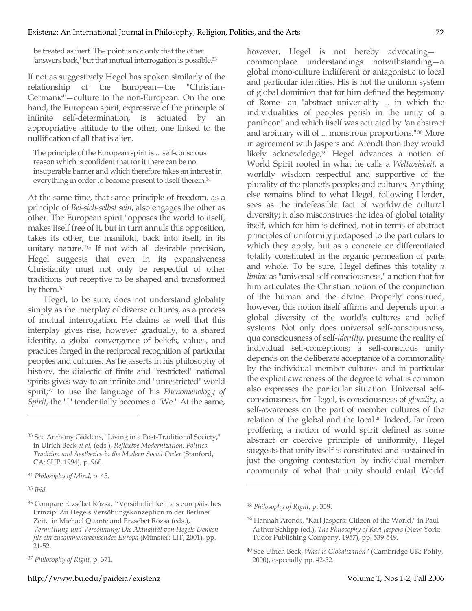be treated as inert. The point is not only that the other 'answers back,' but that mutual interrogation is possible.33

If not as suggestively Hegel has spoken similarly of the relationship of the European—the "Christian-Germanic"—culture to the non-European. On the one hand, the European spirit, expressive of the principle of infinite self-determination, is actuated by an appropriative attitude to the other, one linked to the nullification of all that is alien.

The principle of the European spirit is ... self-conscious reason which is confident that for it there can be no insuperable barrier and which therefore takes an interest in everything in order to become present to itself therein.<sup>34</sup>

At the same time, that same principle of freedom, as a principle of *Bei-sich-selbst sein*, also engages the other as other. The European spirit "opposes the world to itself, makes itself free of it, but in turn annuls this opposition, takes its other, the manifold, back into itself, in its unitary nature."35 If not with all desirable precision, Hegel suggests that even in its expansiveness Christianity must not only be respectful of other traditions but receptive to be shaped and transformed by them.36

Hegel, to be sure, does not understand globality simply as the interplay of diverse cultures, as a process of mutual interrogation. He claims as well that this interplay gives rise, however gradually, to a shared identity, a global convergence of beliefs, values, and practices forged in the reciprocal recognition of particular peoples and cultures. As he asserts in his philosophy of history, the dialectic of finite and "restricted" national spirits gives way to an infinite and "unrestricted" world spirit;37 to use the language of his *Phenomenology of Spirit*, the "I" tendentially becomes a "We." At the same,

<sup>35</sup> *Ibid.*

 $\overline{a}$ 

however, Hegel is not hereby advocating commonplace understandings notwithstanding—a global mono-culture indifferent or antagonistic to local and particular identities. His is not the uniform system of global dominion that for him defined the hegemony of Rome—an "abstract universality ... in which the individualities of peoples perish in the unity of a pantheon" and which itself was actuated by "an abstract and arbitrary will of ... monstrous proportions." <sup>38</sup> More in agreement with Jaspers and Arendt than they would likely acknowledge,<sup>39</sup> Hegel advances a notion of World Spirit rooted in what he calls a *Weltweisheit*, a worldly wisdom respectful and supportive of the plurality of the planet's peoples and cultures. Anything else remains blind to what Hegel, following Herder, sees as the indefeasible fact of worldwide cultural diversity; it also misconstrues the idea of global totality itself, which for him is defined, not in terms of abstract principles of uniformity juxtaposed to the particulars to which they apply, but as a concrete or differentiated totality constituted in the organic permeation of parts and whole. To be sure, Hegel defines this totality *a limine* as "universal self-consciousness," a notion that for him articulates the Christian notion of the conjunction of the human and the divine. Properly construed, however, this notion itself affirms and depends upon a global diversity of the world's cultures and belief systems. Not only does universal self-consciousness, qua consciousness of self-*identity*, presume the reality of individual self-conceptions; a self-conscious unity depends on the deliberate acceptance of a commonality by the individual member cultures--and in particular the explicit awareness of the degree to what is common also expresses the particular situation. Universal selfconsciousness, for Hegel, is consciousness of *glocality*, a self-awareness on the part of member cultures of the relation of the global and the local. <sup>40</sup> Indeed, far from proffering a notion of world spirit defined as some abstract or coercive principle of uniformity, Hegel suggests that unity itself is constituted and sustained in just the ongoing contestation by individual member community of what that unity should entail. World

<sup>33</sup> See Anthony Giddens, "Living in a Post-Traditional Society," in Ulrich Beck *et al.* (eds.), *Reflexive Modernization: Politics, Tradition and Aesthetics in the Modern Social Order* (Stanford, CA: SUP, 1994), p. 96f.

<sup>34</sup> *Philosophy of Mind*, p. 45.

<sup>36</sup> Compare Erzsébet Rózsa, "'Versöhnlichkeit' als europäisches Prinzip: Zu Hegels Versöhungskonzeption in der Berliner Zeit," in Michael Quante and Erzsébet Rózsa (eds.), *Vermittlung und Versöhnung: Die Aktualität von Hegels Denken für ein zusammenwachsendes Europa* (Münster: LIT, 2001), pp. 21-52.

<sup>37</sup> *Philosophy of Right,* p. 371.

<sup>38</sup> *Philosophy of Right*, p. 359.

<sup>39</sup> Hannah Arendt, "Karl Jaspers: Citizen of the World," in Paul Arthur Schlipp (ed.), *The Philosophy of Karl Jaspers* (New York: Tudor Publishing Company, 1957), pp. 539-549.

<sup>40</sup> See Ulrich Beck, *What is Globalization?* (Cambridge UK: Polity, 2000), especially pp. 42-52.